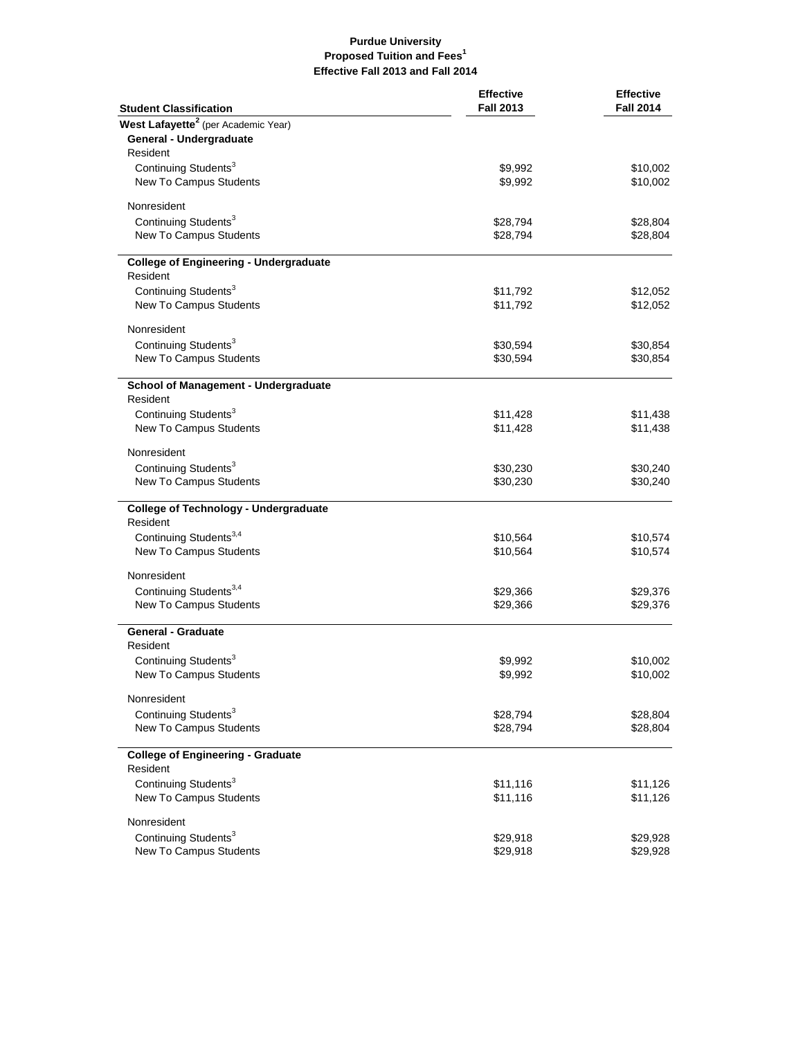## **Purdue University Proposed Tuition and Fees<sup>1</sup> Effective Fall 2013 and Fall 2014**

| <b>Student Classification</b>                   | <b>Effective</b><br><b>Fall 2013</b> | <b>Effective</b><br><b>Fall 2014</b> |
|-------------------------------------------------|--------------------------------------|--------------------------------------|
| West Lafayette <sup>2</sup> (per Academic Year) |                                      |                                      |
| General - Undergraduate                         |                                      |                                      |
| Resident                                        |                                      |                                      |
| Continuing Students <sup>3</sup>                | \$9,992                              | \$10,002                             |
| New To Campus Students                          | \$9,992                              | \$10,002                             |
| Nonresident                                     |                                      |                                      |
| Continuing Students <sup>3</sup>                | \$28,794                             | \$28,804                             |
| New To Campus Students                          | \$28,794                             | \$28,804                             |
| <b>College of Engineering - Undergraduate</b>   |                                      |                                      |
| Resident                                        |                                      |                                      |
| Continuing Students <sup>3</sup>                | \$11,792                             | \$12,052                             |
| New To Campus Students                          | \$11,792                             | \$12,052                             |
| Nonresident                                     |                                      |                                      |
| Continuing Students <sup>3</sup>                | \$30,594                             | \$30,854                             |
| New To Campus Students                          | \$30,594                             | \$30,854                             |
| School of Management - Undergraduate            |                                      |                                      |
| Resident                                        |                                      |                                      |
| Continuing Students <sup>3</sup>                | \$11,428                             | \$11,438                             |
| New To Campus Students                          | \$11,428                             | \$11,438                             |
| Nonresident                                     |                                      |                                      |
| Continuing Students <sup>3</sup>                | \$30,230                             | \$30,240                             |
| New To Campus Students                          | \$30,230                             | \$30,240                             |
| <b>College of Technology - Undergraduate</b>    |                                      |                                      |
| Resident                                        |                                      |                                      |
| Continuing Students <sup>3,4</sup>              | \$10,564                             | \$10,574<br>\$10,574                 |
| New To Campus Students                          | \$10,564                             |                                      |
| Nonresident                                     |                                      |                                      |
| Continuing Students <sup>3,4</sup>              | \$29,366                             | \$29,376                             |
| New To Campus Students                          | \$29,366                             | \$29,376                             |
| <b>General - Graduate</b>                       |                                      |                                      |
| Resident                                        |                                      |                                      |
| Continuing Students <sup>3</sup>                | \$9,992                              | \$10,002                             |
| New To Campus Students                          | \$9,992                              | \$10,002                             |
| Nonresident                                     |                                      |                                      |
| Continuing Students <sup>3</sup>                | \$28,794                             | \$28,804                             |
| New To Campus Students                          | \$28,794                             | \$28,804                             |
| <b>College of Engineering - Graduate</b>        |                                      |                                      |
| Resident<br>Continuing Students <sup>3</sup>    |                                      |                                      |
| New To Campus Students                          | \$11,116<br>\$11,116                 | \$11,126<br>\$11,126                 |
|                                                 |                                      |                                      |
| Nonresident<br>Continuing Students <sup>3</sup> |                                      |                                      |
| New To Campus Students                          | \$29,918<br>\$29,918                 | \$29,928<br>\$29,928                 |
|                                                 |                                      |                                      |